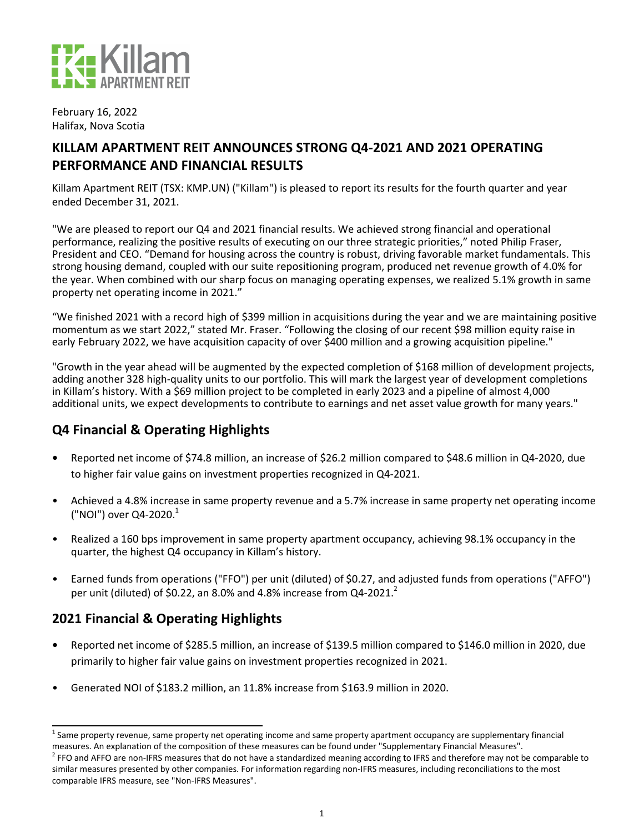

February 16, 2022 Halifax, Nova Scotia

# KILLAM APARTMENT REIT ANNOUNCES STRONG Q4-2021 AND 2021 OPERATING **PERFORMANCE AND FINANCIAL RESULTS**

Killam Apartment REIT (TSX: KMP.UN) ("Killam") is pleased to report its results for the fourth quarter and year ended December 31, 2021.

"We are pleased to report our Q4 and 2021 financial results. We achieved strong financial and operational performance, realizing the positive results of executing on our three strategic priorities," noted Philip Fraser, President and CEO. "Demand for housing across the country is robust, driving favorable market fundamentals. This strong housing demand, coupled with our suite repositioning program, produced net revenue growth of 4.0% for the year. When combined with our sharp focus on managing operating expenses, we realized 5.1% growth in same property net operating income in 2021."

"We finished 2021 with a record high of \$399 million in acquisitions during the year and we are maintaining positive momentum as we start 2022," stated Mr. Fraser. "Following the closing of our recent \$98 million equity raise in early February 2022, we have acquisition capacity of over \$400 million and a growing acquisition pipeline."

"Growth in the year ahead will be augmented by the expected completion of \$168 million of development projects, adding another 328 high-quality units to our portfolio. This will mark the largest year of development completions in Killam's history. With a \$69 million project to be completed in early 2023 and a pipeline of almost 4,000 additional units, we expect developments to contribute to earnings and net asset value growth for many years."

# **Q4 Financial & Operating Highlights**

- **Reported net income of \$74.8 million, an increase of \$26.2 million compared to \$48.6 million in Q4-2020, due** to higher fair value gains on investment properties recognized in Q4-2021.
- Achieved a 4.8% increase in same property revenue and a 5.7% increase in same property net operating income ("NOI") over  $Q4-2020$ .<sup>1</sup>
- Realized a 160 bps improvement in same property apartment occupancy, achieving 98.1% occupancy in the quarter, the highest Q4 occupancy in Killam's history.
- Earned funds from operations ("FFO") per unit (diluted) of \$0.27, and adjusted funds from operations ("AFFO") per unit (diluted) of \$0.22, an 8.0% and 4.8% increase from  $Q4-2021$ .<sup>2</sup>

# **2021 Financial & Operating Highlights**

- **Reported net income of \$285.5 million, an increase of \$139.5 million compared to \$146.0 million in 2020, due** primarily to higher fair value gains on investment properties recognized in 2021.
- Generated NOI of \$183.2 million, an 11.8% increase from \$163.9 million in 2020.

 $^1$  Same property revenue, same property net operating income and same property apartment occupancy are supplementary financial measures. An explanation of the composition of these measures can be found under "Supplementary Financial Measures".

<sup>&</sup>lt;sup>2</sup> FFO and AFFO are non-IFRS measures that do not have a standardized meaning according to IFRS and therefore may not be comparable to similar measures presented by other companies. For information regarding non-IFRS measures, including reconciliations to the most comparable IFRS measure, see "Non-IFRS Measures".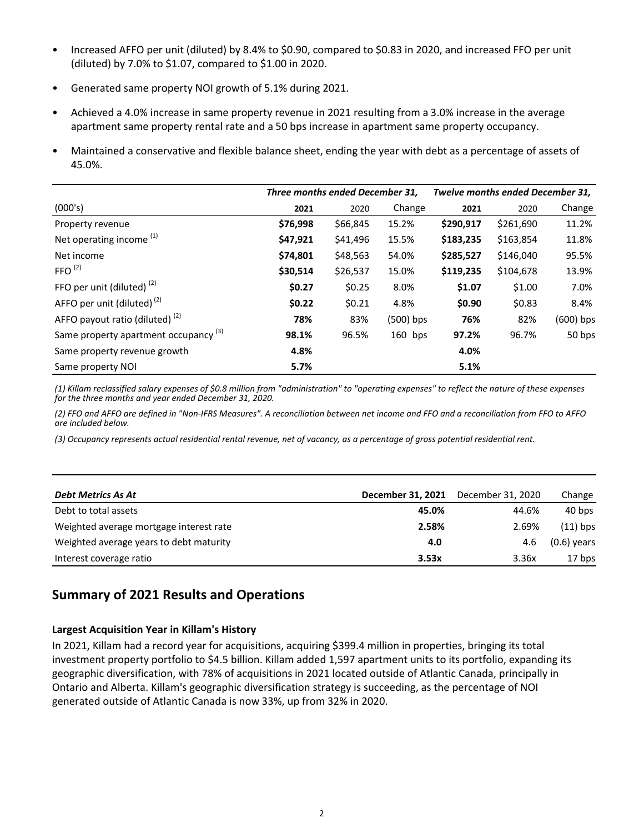- Increased AFFO per unit (diluted) by 8.4% to \$0.90, compared to \$0.83 in 2020, and increased FFO per unit (diluted) by 7.0% to \$1.07, compared to \$1.00 in 2020.
- Generated same property NOI growth of 5.1% during 2021.
- Achieved a 4.0% increase in same property revenue in 2021 resulting from a 3.0% increase in the average apartment same property rental rate and a 50 bps increase in apartment same property occupancy.
- Maintained a conservative and flexible balance sheet, ending the year with debt as a percentage of assets of 45.0%.

|                                                  | Three months ended December 31, |          |           | Twelve months ended December 31, |           |             |
|--------------------------------------------------|---------------------------------|----------|-----------|----------------------------------|-----------|-------------|
| (000's)                                          | 2021                            | 2020     | Change    | 2021                             | 2020      | Change      |
| Property revenue                                 | \$76,998                        | \$66,845 | 15.2%     | \$290,917                        | \$261,690 | 11.2%       |
| Net operating income <sup>(1)</sup>              | \$47,921                        | \$41,496 | 15.5%     | \$183,235                        | \$163,854 | 11.8%       |
| Net income                                       | \$74,801                        | \$48,563 | 54.0%     | \$285,527                        | \$146,040 | 95.5%       |
| FFO $(2)$                                        | \$30,514                        | \$26,537 | 15.0%     | \$119,235                        | \$104,678 | 13.9%       |
| FFO per unit (diluted) $(2)$                     | \$0.27                          | \$0.25   | 8.0%      | \$1.07                           | \$1.00    | 7.0%        |
| AFFO per unit (diluted) $(2)$                    | \$0.22                          | \$0.21   | 4.8%      | \$0.90                           | \$0.83    | 8.4%        |
| AFFO payout ratio (diluted) $(2)$                | 78%                             | 83%      | (500) bps | 76%                              | 82%       | $(600)$ bps |
| Same property apartment occupancy <sup>(3)</sup> | 98.1%                           | 96.5%    | $160$ bps | 97.2%                            | 96.7%     | 50 bps      |
| Same property revenue growth                     | 4.8%                            |          |           | 4.0%                             |           |             |
| Same property NOI                                | 5.7%                            |          |           | 5.1%                             |           |             |

(1) Killam reclassified salary expenses of \$0.8 million from "administration" to "operating expenses" to reflect the nature of these expenses for the three months and year ended December 31, 2020.

(2) FFO and AFFO are defined in "Non-IFRS Measures". A reconciliation between net income and FFO and a reconciliation from FFO to AFFO *are included below.*

(3) Occupancy represents actual residential rental revenue, net of vacancy, as a percentage of gross potential residential rent.

| <b>Debt Metrics As At</b>               | December 31, 2021 | December 31, 2020 | Change        |
|-----------------------------------------|-------------------|-------------------|---------------|
| Debt to total assets                    | 45.0%             | 44.6%             | 40 bps        |
| Weighted average mortgage interest rate | 2.58%             | 2.69%             | $(11)$ bps    |
| Weighted average years to debt maturity | 4.0               | 4.6               | $(0.6)$ years |
| Interest coverage ratio                 | 3.53x             | 3.36x             | 17 bps        |

# **Summary of 2021 Results and Operations**

### **Largest Acquisition Year in Killam's History**

In 2021, Killam had a record year for acquisitions, acquiring \$399.4 million in properties, bringing its total investment property portfolio to \$4.5 billion. Killam added 1,597 apartment units to its portfolio, expanding its geographic diversification, with 78% of acquisitions in 2021 located outside of Atlantic Canada, principally in Ontario and Alberta. Killam's geographic diversification strategy is succeeding, as the percentage of NOI generated outside of Atlantic Canada is now 33%, up from 32% in 2020.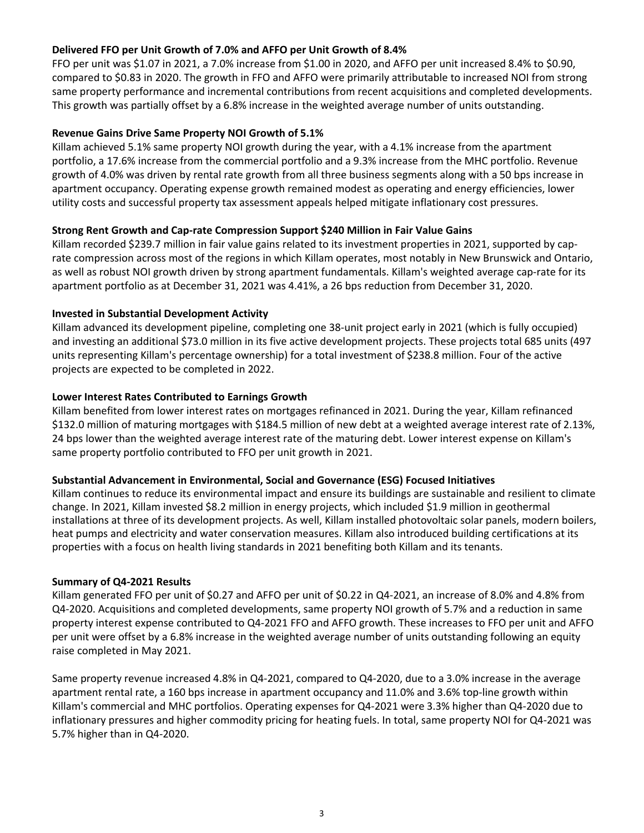### Delivered FFO per Unit Growth of 7.0% and AFFO per Unit Growth of 8.4%

FFO per unit was \$1.07 in 2021, a 7.0% increase from \$1.00 in 2020, and AFFO per unit increased 8.4% to \$0.90, compared to \$0.83 in 2020. The growth in FFO and AFFO were primarily attributable to increased NOI from strong same property performance and incremental contributions from recent acquisitions and completed developments. This growth was partially offset by a 6.8% increase in the weighted average number of units outstanding.

### **Revenue Gains Drive Same Property NOI Growth of 5.1%**

Killam achieved 5.1% same property NOI growth during the year, with a 4.1% increase from the apartment portfolio, a 17.6% increase from the commercial portfolio and a 9.3% increase from the MHC portfolio. Revenue growth of 4.0% was driven by rental rate growth from all three business segments along with a 50 bps increase in apartment occupancy. Operating expense growth remained modest as operating and energy efficiencies, lower utility costs and successful property tax assessment appeals helped mitigate inflationary cost pressures.

### **Strong Rent Growth and Cap-rate Compression Support \$240 Million in Fair Value Gains**

Killam recorded \$239.7 million in fair value gains related to its investment properties in 2021, supported by caprate compression across most of the regions in which Killam operates, most notably in New Brunswick and Ontario, as well as robust NOI growth driven by strong apartment fundamentals. Killam's weighted average cap-rate for its apartment portfolio as at December 31, 2021 was 4.41%, a 26 bps reduction from December 31, 2020.

### **Invested in Substantial Development Activity**

Killam advanced its development pipeline, completing one 38-unit project early in 2021 (which is fully occupied) and investing an additional \$73.0 million in its five active development projects. These projects total 685 units (497 units representing Killam's percentage ownership) for a total investment of \$238.8 million. Four of the active projects are expected to be completed in 2022.

### Lower Interest Rates Contributed to Earnings Growth

Killam benefited from lower interest rates on mortgages refinanced in 2021. During the year, Killam refinanced \$132.0 million of maturing mortgages with \$184.5 million of new debt at a weighted average interest rate of 2.13%, 24 bps lower than the weighted average interest rate of the maturing debt. Lower interest expense on Killam's same property portfolio contributed to FFO per unit growth in 2021.

### Substantial Advancement in Environmental, Social and Governance (ESG) Focused Initiatives

Killam continues to reduce its environmental impact and ensure its buildings are sustainable and resilient to climate change. In 2021, Killam invested \$8.2 million in energy projects, which included \$1.9 million in geothermal installations at three of its development projects. As well, Killam installed photovoltaic solar panels, modern boilers, heat pumps and electricity and water conservation measures. Killam also introduced building certifications at its properties with a focus on health living standards in 2021 benefiting both Killam and its tenants.

### **Summary of Q4-2021 Results**

Killam generated FFO per unit of \$0.27 and AFFO per unit of \$0.22 in Q4-2021, an increase of 8.0% and 4.8% from Q4-2020. Acquisitions and completed developments, same property NOI growth of 5.7% and a reduction in same property interest expense contributed to Q4-2021 FFO and AFFO growth. These increases to FFO per unit and AFFO per unit were offset by a 6.8% increase in the weighted average number of units outstanding following an equity raise completed in May 2021.

Same property revenue increased 4.8% in Q4-2021, compared to Q4-2020, due to a 3.0% increase in the average apartment rental rate, a 160 bps increase in apartment occupancy and 11.0% and 3.6% top-line growth within Killam's commercial and MHC portfolios. Operating expenses for Q4-2021 were 3.3% higher than Q4-2020 due to inflationary pressures and higher commodity pricing for heating fuels. In total, same property NOI for Q4-2021 was 5.7% higher than in Q4-2020.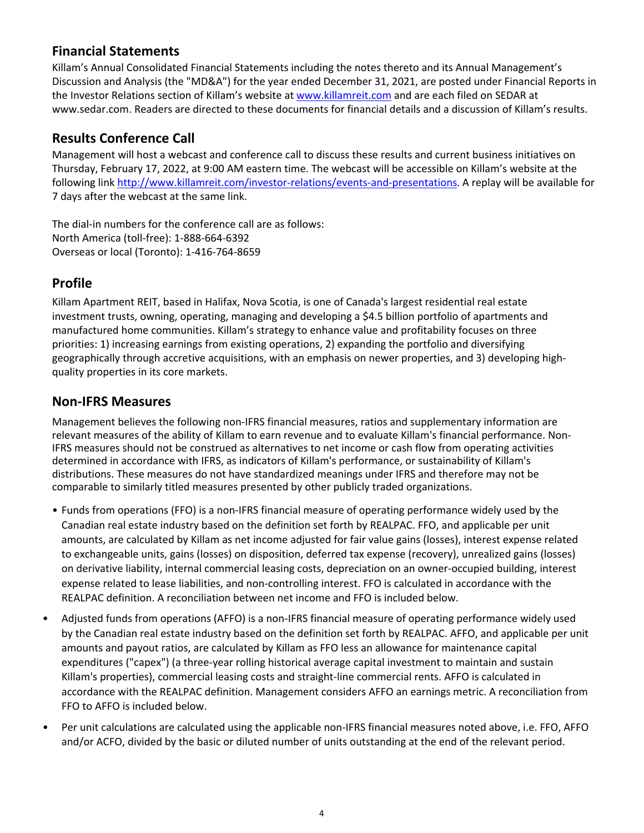## **Financial Statements**

Killam's Annual Consolidated Financial Statements including the notes thereto and its Annual Management's Discussion and Analysis (the "MD&A") for the year ended December 31, 2021, are posted under Financial Reports in the Investor Relations section of Killam's website at www.killamreit.com and are each filed on SEDAR at www.sedar.com. Readers are directed to these documents for financial details and a discussion of Killam's results.

## **Results Conference Call**

Management will host a webcast and conference call to discuss these results and current business initiatives on Thursday, February 17, 2022, at 9:00 AM eastern time. The webcast will be accessible on Killam's website at the following link http://www.killamreit.com/investor-relations/events-and-presentations. A replay will be available for 7 days after the webcast at the same link.

The dial-in numbers for the conference call are as follows: North America (toll-free): 1-888-664-6392 Overseas or local (Toronto): 1-416-764-8659

# **Profile**

Killam Apartment REIT, based in Halifax, Nova Scotia, is one of Canada's largest residential real estate investment trusts, owning, operating, managing and developing a \$4.5 billion portfolio of apartments and manufactured home communities. Killam's strategy to enhance value and profitability focuses on three priorities: 1) increasing earnings from existing operations, 2) expanding the portfolio and diversifying geographically through accretive acquisitions, with an emphasis on newer properties, and 3) developing highquality properties in its core markets.

## **Non-IFRS Measures**

Management believes the following non-IFRS financial measures, ratios and supplementary information are relevant measures of the ability of Killam to earn revenue and to evaluate Killam's financial performance. Non-IFRS measures should not be construed as alternatives to net income or cash flow from operating activities determined in accordance with IFRS, as indicators of Killam's performance, or sustainability of Killam's distributions. These measures do not have standardized meanings under IFRS and therefore may not be comparable to similarly titled measures presented by other publicly traded organizations.

- Funds from operations (FFO) is a non-IFRS financial measure of operating performance widely used by the Canadian real estate industry based on the definition set forth by REALPAC. FFO, and applicable per unit amounts, are calculated by Killam as net income adjusted for fair value gains (losses), interest expense related to exchangeable units, gains (losses) on disposition, deferred tax expense (recovery), unrealized gains (losses) on derivative liability, internal commercial leasing costs, depreciation on an owner-occupied building, interest expense related to lease liabilities, and non-controlling interest. FFO is calculated in accordance with the REALPAC definition. A reconciliation between net income and FFO is included below.
- Adjusted funds from operations (AFFO) is a non-IFRS financial measure of operating performance widely used by the Canadian real estate industry based on the definition set forth by REALPAC. AFFO, and applicable per unit amounts and payout ratios, are calculated by Killam as FFO less an allowance for maintenance capital expenditures ("capex") (a three-year rolling historical average capital investment to maintain and sustain Killam's properties), commercial leasing costs and straight-line commercial rents. AFFO is calculated in accordance with the REALPAC definition. Management considers AFFO an earnings metric. A reconciliation from FFO to AFFO is included below.
- Per unit calculations are calculated using the applicable non-IFRS financial measures noted above, i.e. FFO, AFFO and/or ACFO, divided by the basic or diluted number of units outstanding at the end of the relevant period.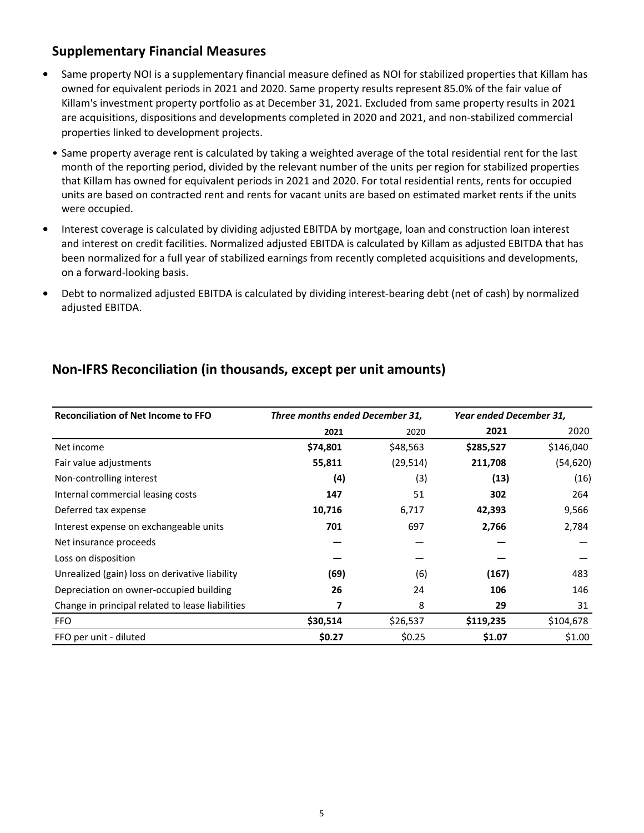## **Supplementary Financial Measures**

- Same property NOI is a supplementary financial measure defined as NOI for stabilized properties that Killam has owned for equivalent periods in 2021 and 2020. Same property results represent 85.0% of the fair value of Killam's investment property portfolio as at December 31, 2021. Excluded from same property results in 2021 are acquisitions, dispositions and developments completed in 2020 and 2021, and non-stabilized commercial properties linked to development projects.
- Same property average rent is calculated by taking a weighted average of the total residential rent for the last month of the reporting period, divided by the relevant number of the units per region for stabilized properties that Killam has owned for equivalent periods in 2021 and 2020. For total residential rents, rents for occupied units are based on contracted rent and rents for vacant units are based on estimated market rents if the units were occupied.
- Interest coverage is calculated by dividing adjusted EBITDA by mortgage, loan and construction loan interest and interest on credit facilities. Normalized adjusted EBITDA is calculated by Killam as adjusted EBITDA that has been normalized for a full year of stabilized earnings from recently completed acquisitions and developments, on a forward-looking basis.
- Debt to normalized adjusted EBITDA is calculated by dividing interest-bearing debt (net of cash) by normalized adjusted EBITDA.

| <b>Reconciliation of Net Income to FFO</b>       | Three months ended December 31, |           | Year ended December 31, |           |
|--------------------------------------------------|---------------------------------|-----------|-------------------------|-----------|
|                                                  | 2021                            | 2020      | 2021                    | 2020      |
| Net income                                       | \$74,801                        | \$48,563  | \$285,527               | \$146,040 |
| Fair value adjustments                           | 55,811                          | (29, 514) | 211,708                 | (54, 620) |
| Non-controlling interest                         | (4)                             | (3)       | (13)                    | (16)      |
| Internal commercial leasing costs                | 147                             | 51        | 302                     | 264       |
| Deferred tax expense                             | 10,716                          | 6,717     | 42,393                  | 9,566     |
| Interest expense on exchangeable units           | 701                             | 697       | 2,766                   | 2,784     |
| Net insurance proceeds                           |                                 |           |                         |           |
| Loss on disposition                              |                                 |           |                         |           |
| Unrealized (gain) loss on derivative liability   | (69)                            | (6)       | (167)                   | 483       |
| Depreciation on owner-occupied building          | 26                              | 24        | 106                     | 146       |
| Change in principal related to lease liabilities | 7                               | 8         | 29                      | 31        |
| <b>FFO</b>                                       | \$30,514                        | \$26,537  | \$119,235               | \$104,678 |
| FFO per unit - diluted                           | \$0.27                          | \$0.25    | \$1.07                  | \$1.00    |

## **Non-IFRS Reconciliation (in thousands, except per unit amounts)**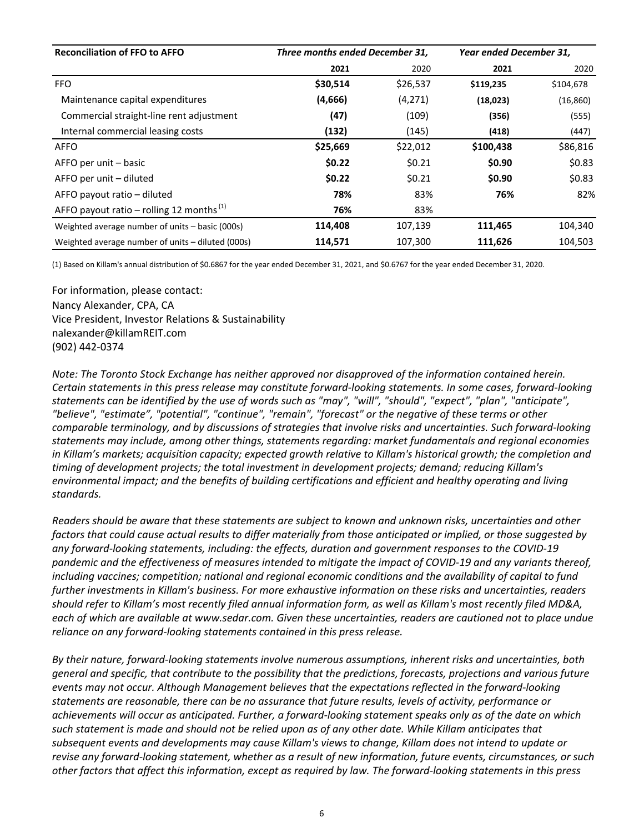| <b>Reconciliation of FFO to AFFO</b>                 | Three months ended December 31, |          | Year ended December 31, |           |
|------------------------------------------------------|---------------------------------|----------|-------------------------|-----------|
|                                                      | 2021                            | 2020     | 2021                    | 2020      |
| <b>FFO</b>                                           | \$30,514                        | \$26,537 | \$119,235               | \$104,678 |
| Maintenance capital expenditures                     | (4,666)                         | (4,271)  | (18,023)                | (16, 860) |
| Commercial straight-line rent adjustment             | (47)                            | (109)    | (356)                   | (555)     |
| Internal commercial leasing costs                    | (132)                           | (145)    | (418)                   | (447)     |
| <b>AFFO</b>                                          | \$25,669                        | \$22,012 | \$100,438               | \$86,816  |
| AFFO per unit – basic                                | \$0.22                          | \$0.21   | \$0.90                  | \$0.83    |
| AFFO per unit – diluted                              | \$0.22                          | \$0.21   | \$0.90                  | \$0.83    |
| AFFO payout ratio – diluted                          | 78%                             | 83%      | 76%                     | 82%       |
| AFFO payout ratio – rolling 12 months <sup>(1)</sup> | 76%                             | 83%      |                         |           |
| Weighted average number of units - basic (000s)      | 114,408                         | 107,139  | 111,465                 | 104,340   |
| Weighted average number of units – diluted (000s)    | 114,571                         | 107,300  | 111,626                 | 104,503   |

(1) Based on Killam's annual distribution of \$0.6867 for the year ended December 31, 2021, and \$0.6767 for the year ended December 31, 2020.

For information, please contact: Nancy Alexander, CPA, CA Vice President, Investor Relations & Sustainability nalexander@killamREIT.com (902) 442-0374 

*Note:* The Toronto Stock Exchange has neither approved nor disapproved of the information contained herein. *Certain statements in this press release may constitute forward-looking statements. In some cases, forward-looking* statements can be identified by the use of words such as "may", "will", "should", "expect", "plan", "anticipate", "believe", "estimate", "potential", "continue", "remain", "forecast" or the negative of these terms or other *comparable terminology, and by discussions of strategies that involve risks and uncertainties. Such forward-looking* statements may include, among other things, statements regarding: market fundamentals and regional economies *in* Killam's markets; acquisition capacity; expected growth relative to Killam's historical growth; the completion and *timing* of development projects; the total investment in development projects; demand; reducing Killam's *environmental impact; and the benefits of building certifications and efficient and healthy operating and living standards.*

*Readers* should be aware that these statements are subject to known and unknown risks, uncertainties and other *factors* that could cause actual results to differ materially from those anticipated or implied, or those suggested by any forward-looking statements, including: the effects, duration and government responses to the COVID-19 pandemic and the effectiveness of measures intended to mitigate the impact of COVID-19 and any variants thereof, *including vaccines; competition; national and regional economic conditions and the availability of capital to fund* further investments in Killam's business. For more exhaustive information on these risks and uncertainties, readers should refer to Killam's most recently filed annual information form, as well as Killam's most recently filed MD&A, each of which are available at www.sedar.com. Given these uncertainties, readers are cautioned not to place undue *reliance on any forward-looking statements contained in this press release.* 

By their nature, forward-looking statements involve numerous assumptions, inherent risks and uncertainties, both *general and specific, that contribute to the possibility that the predictions, forecasts, projections and various future events may not occur. Although Management believes that the expectations reflected in the forward-looking* statements are reasonable, there can be no assurance that future results, levels of activity, performance or achievements will occur as anticipated. Further, a forward-looking statement speaks only as of the date on which such statement is made and should not be relied upon as of any other date. While Killam anticipates that subsequent events and developments may cause Killam's views to change, Killam does not intend to update or revise any forward-looking statement, whether as a result of new information, future events, circumstances, or such other factors that affect this information, except as required by law. The forward-looking statements in this press